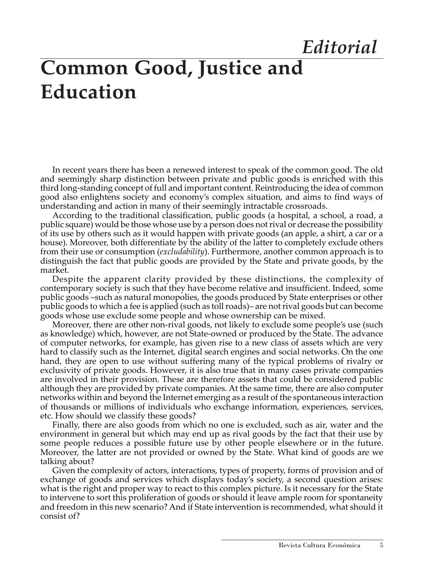## **Common Good, Justice and Education**  *Editorial*

In recent years there has been a renewed interest to speak of the common good. The old and seemingly sharp distinction between private and public goods is enriched with this third long-standing concept of full and important content. Reintroducing the idea of common good also enlightens society and economy's complex situation, and aims to find ways of understanding and action in many of their seemingly intractable crossroads.

According to the traditional classification, public goods (a hospital, a school, a road, a public square) would be those whose use by a person does not rival or decrease the possibility of its use by others such as it would happen with private goods (an apple, a shirt, a car or a house). Moreover, both differentiate by the ability of the latter to completely exclude others from their use or consumption (*excludability*). Furthermore, another common approach is to distinguish the fact that public goods are provided by the State and private goods, by the market.

Despite the apparent clarity provided by these distinctions, the complexity of contemporary society is such that they have become relative and insufficient. Indeed, some public goods –such as natural monopolies, the goods produced by State enterprises or other public goods to which a fee is applied (such as toll roads)– are not rival goods but can become goods whose use exclude some people and whose ownership can be mixed.

Moreover, there are other non-rival goods, not likely to exclude some people's use (such as knowledge) which, however, are not State-owned or produced by the State. The advance of computer networks, for example, has given rise to a new class of assets which are very hard to classify such as the Internet, digital search engines and social networks. On the one hand, they are open to use without suffering many of the typical problems of rivalry or exclusivity of private goods. However, it is also true that in many cases private companies are involved in their provision. These are therefore assets that could be considered public although they are provided by private companies. At the same time, there are also computer networks within and beyond the Internet emerging as a result of the spontaneous interaction of thousands or millions of individuals who exchange information, experiences, services, etc. How should we classify these goods?

Finally, there are also goods from which no one is excluded, such as air, water and the environment in general but which may end up as rival goods by the fact that their use by some people reduces a possible future use by other people elsewhere or in the future. Moreover, the latter are not provided or owned by the State. What kind of goods are we talking about?

Given the complexity of actors, interactions, types of property, forms of provision and of exchange of goods and services which displays today's society, a second question arises: what is the right and proper way to react to this complex picture. Is it necessary for the State to intervene to sort this proliferation of goods or should it leave ample room for spontaneity and freedom in this new scenario? And if State intervention is recommended, what should it consist of?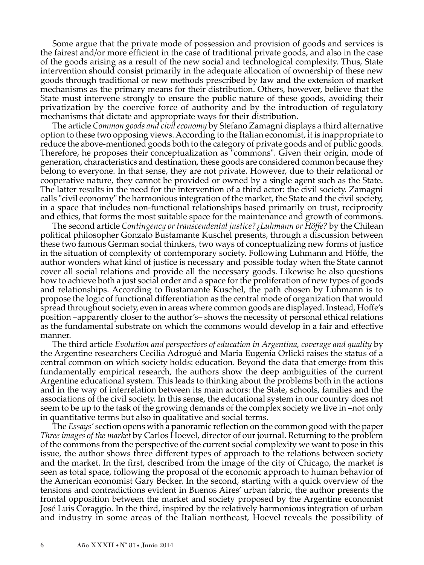Some argue that the private mode of possession and provision of goods and services is the fairest and/or more efficient in the case of traditional private goods, and also in the case of the goods arising as a result of the new social and technological complexity. Thus, State intervention should consist primarily in the adequate allocation of ownership of these new goods through traditional or new methods prescribed by law and the extension of market mechanisms as the primary means for their distribution. Others, however, believe that the State must intervene strongly to ensure the public nature of these goods, avoiding their privatization by the coercive force of authority and by the introduction of regulatory mechanisms that dictate and appropriate ways for their distribution.

The article *Common goods and civil economy* by Stefano Zamagni displays a third alternative option to these two opposing views. According to the Italian economist, it is inappropriate to reduce the above-mentioned goods both to the category of private goods and of public goods. Therefore, he proposes their conceptualization as "commons". Given their origin, mode of generation, characteristics and destination, these goods are considered common because they belong to everyone. In that sense, they are not private. However, due to their relational or cooperative nature, they cannot be provided or owned by a single agent such as the State. The latter results in the need for the intervention of a third actor: the civil society. Zamagni calls "civil economy" the harmonious integration of the market, the State and the civil society, in a space that includes non-functional relationships based primarily on trust, reciprocity and ethics, that forms the most suitable space for the maintenance and growth of commons.

The second article *Contingency or transcendental justice?¿Luhmann or Höffe?* by the Chilean political philosopher Gonzalo Bustamante Kuschel presents, through a discussion between these two famous German social thinkers, two ways of conceptualizing new forms of justice in the situation of complexity of contemporary society. Following Luhmann and Höffe, the author wonders what kind of justice is necessary and possible today when the State cannot cover all social relations and provide all the necessary goods. Likewise he also questions how to achieve both a just social order and a space for the proliferation of new types of goods and relationships. According to Bustamante Kuschel, the path chosen by Luhmann is to propose the logic of functional differentiation as the central mode of organization that would spread throughout society, even in areas where common goods are displayed. Instead, Hoffe's position –apparently closer to the author's– shows the necessity of personal ethical relations as the fundamental substrate on which the commons would develop in a fair and effective manner.

The third article *Evolution and perspectives of education in Argentina, coverage and quality* by the Argentine researchers Cecilia Adrogué and Maria Eugenia Orlicki raises the status of a central common on which society holds: education. Beyond the data that emerge from this fundamentally empirical research, the authors show the deep ambiguities of the current Argentine educational system. This leads to thinking about the problems both in the actions and in the way of interrelation between its main actors: the State, schools, families and the associations of the civil society. In this sense, the educational system in our country does not seem to be up to the task of the growing demands of the complex society we live in –not only in quantitative terms but also in qualitative and social terms.

The *Essays'* section opens with a panoramic reflection on the common good with the paper *Three images of the market* by Carlos Hoevel, director of our journal. Returning to the problem of the commons from the perspective of the current social complexity we want to pose in this issue, the author shows three different types of approach to the relations between society and the market. In the first, described from the image of the city of Chicago, the market is seen as total space, following the proposal of the economic approach to human behavior of the American economist Gary Becker. In the second, starting with a quick overview of the tensions and contradictions evident in Buenos Aires' urban fabric, the author presents the frontal opposition between the market and society proposed by the Argentine economist José Luis Coraggio. In the third, inspired by the relatively harmonious integration of urban and industry in some areas of the Italian northeast, Hoevel reveals the possibility of